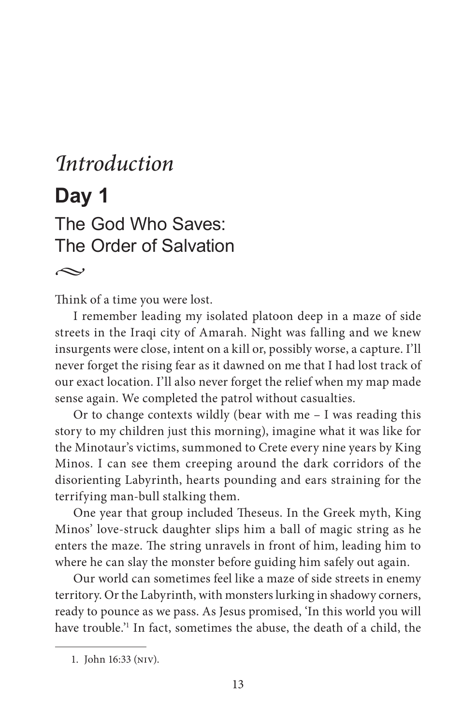# *Introduction* **Day 1** The God Who Saves: The Order of Salvation

 $\sim$ 

Think of a time you were lost.

I remember leading my isolated platoon deep in a maze of side streets in the Iraqi city of Amarah. Night was falling and we knew insurgents were close, intent on a kill or, possibly worse, a capture. I'll never forget the rising fear as it dawned on me that I had lost track of our exact location. I'll also never forget the relief when my map made sense again. We completed the patrol without casualties.

Or to change contexts wildly (bear with me – I was reading this story to my children just this morning), imagine what it was like for the Minotaur's victims, summoned to Crete every nine years by King Minos. I can see them creeping around the dark corridors of the disorienting Labyrinth, hearts pounding and ears straining for the terrifying man-bull stalking them.

One year that group included Theseus. In the Greek myth, King Minos' love-struck daughter slips him a ball of magic string as he enters the maze. The string unravels in front of him, leading him to where he can slay the monster before guiding him safely out again.

Our world can sometimes feel like a maze of side streets in enemy territory. Or the Labyrinth, with monsters lurking in shadowy corners, ready to pounce as we pass. As Jesus promised, 'In this world you will have trouble.'1 In fact, sometimes the abuse, the death of a child, the

<sup>1.</sup> John 16:33 (niv).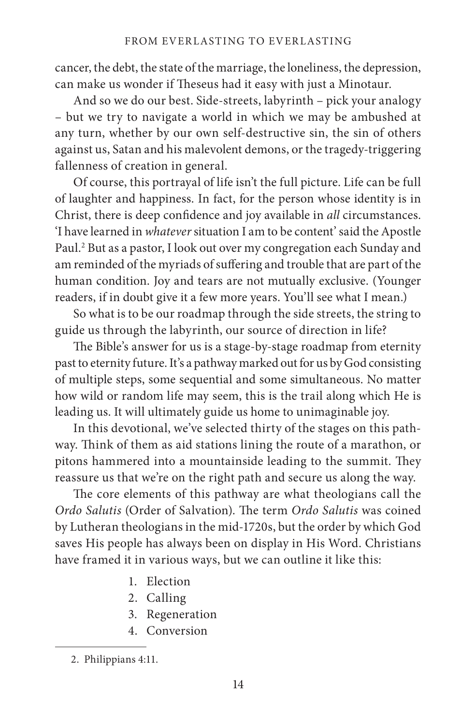cancer, the debt, the state of the marriage, the loneliness, the depression, can make us wonder if Theseus had it easy with just a Minotaur.

And so we do our best. Side-streets, labyrinth – pick your analogy – but we try to navigate a world in which we may be ambushed at any turn, whether by our own self-destructive sin, the sin of others against us, Satan and his malevolent demons, or the tragedy-triggering fallenness of creation in general.

Of course, this portrayal of life isn't the full picture. Life can be full of laughter and happiness. In fact, for the person whose identity is in Christ, there is deep confidence and joy available in *all* circumstances. 'I have learned in *whatever* situation I am to be content' said the Apostle Paul.2 But as a pastor, I look out over my congregation each Sunday and am reminded of the myriads of suffering and trouble that are part of the human condition. Joy and tears are not mutually exclusive. (Younger readers, if in doubt give it a few more years. You'll see what I mean.)

So what is to be our roadmap through the side streets, the string to guide us through the labyrinth, our source of direction in life?

The Bible's answer for us is a stage-by-stage roadmap from eternity past to eternity future. It's a pathway marked out for us by God consisting of multiple steps, some sequential and some simultaneous. No matter how wild or random life may seem, this is the trail along which He is leading us. It will ultimately guide us home to unimaginable joy.

In this devotional, we've selected thirty of the stages on this pathway. Think of them as aid stations lining the route of a marathon, or pitons hammered into a mountainside leading to the summit. They reassure us that we're on the right path and secure us along the way.

The core elements of this pathway are what theologians call the *Ordo Salutis* (Order of Salvation). The term *Ordo Salutis* was coined by Lutheran theologians in the mid-1720s, but the order by which God saves His people has always been on display in His Word. Christians have framed it in various ways, but we can outline it like this:

- 1. Election
- 2. Calling
- 3. Regeneration
- 4. Conversion

<sup>2.</sup> Philippians 4:11.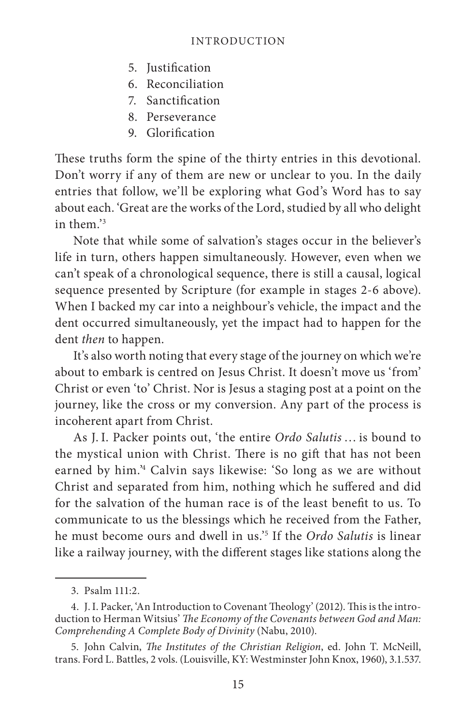- 5. Justification
- 6. Reconciliation
- 7. Sanctification
- 8. Perseverance
- 9. Glorification

These truths form the spine of the thirty entries in this devotional. Don't worry if any of them are new or unclear to you. In the daily entries that follow, we'll be exploring what God's Word has to say about each. 'Great are the works of the Lord, studied by all who delight in them<sup>3</sup>

Note that while some of salvation's stages occur in the believer's life in turn, others happen simultaneously. However, even when we can't speak of a chronological sequence, there is still a causal, logical sequence presented by Scripture (for example in stages 2-6 above). When I backed my car into a neighbour's vehicle, the impact and the dent occurred simultaneously, yet the impact had to happen for the dent *then* to happen.

It's also worth noting that every stage of the journey on which we're about to embark is centred on Jesus Christ. It doesn't move us 'from' Christ or even 'to' Christ. Nor is Jesus a staging post at a point on the journey, like the cross or my conversion. Any part of the process is incoherent apart from Christ.

As J. I. Packer points out, 'the entire *Ordo Salutis* … is bound to the mystical union with Christ. There is no gift that has not been earned by him.'4 Calvin says likewise: 'So long as we are without Christ and separated from him, nothing which he suffered and did for the salvation of the human race is of the least benefit to us. To communicate to us the blessings which he received from the Father, he must become ours and dwell in us.'5 If the *Ordo Salutis* is linear like a railway journey, with the different stages like stations along the

<sup>3.</sup> Psalm 111:2.

<sup>4.</sup> J.I. Packer, 'An Introduction to Covenant Theology' (2012). This is the introduction to Herman Witsius' *The Economy of the Covenants between God and Man: Comprehending A Complete Body of Divinity* (Nabu, 2010).

<sup>5.</sup> John Calvin, *The Institutes of the Christian Religion*, ed. John T. McNeill, trans. Ford L. Battles, 2 vols. (Louisville, KY: Westminster John Knox, 1960), 3.1.537.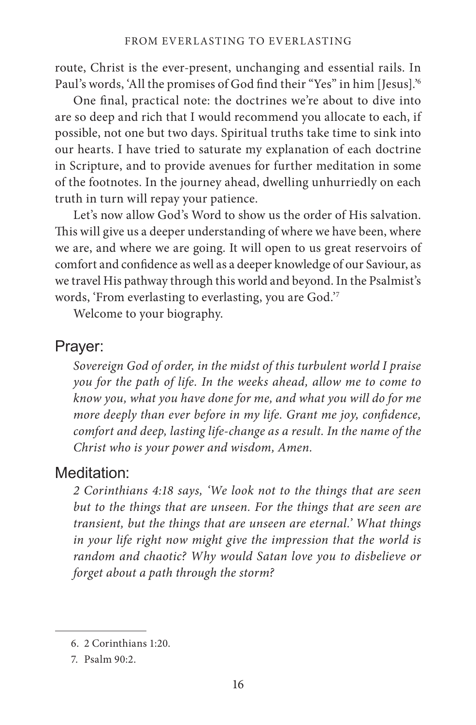route, Christ is the ever-present, unchanging and essential rails. In Paul's words, 'All the promises of God find their "Yes" in him [Jesus].'<sup>6</sup>

One final, practical note: the doctrines we're about to dive into are so deep and rich that I would recommend you allocate to each, if possible, not one but two days. Spiritual truths take time to sink into our hearts. I have tried to saturate my explanation of each doctrine in Scripture, and to provide avenues for further meditation in some of the footnotes. In the journey ahead, dwelling unhurriedly on each truth in turn will repay your patience.

Let's now allow God's Word to show us the order of His salvation. This will give us a deeper understanding of where we have been, where we are, and where we are going. It will open to us great reservoirs of comfort and confidence as well as a deeper knowledge of our Saviour, as we travel His pathway through this world and beyond. In the Psalmist's words, 'From everlasting to everlasting, you are God.'7

Welcome to your biography.

### Prayer:

*Sovereign God of order, in the midst of this turbulent world I praise you for the path of life. In the weeks ahead, allow me to come to know you, what you have done for me, and what you will do for me more deeply than ever before in my life. Grant me joy, confidence, comfort and deep, lasting life-change as a result. In the name of the Christ who is your power and wisdom, Amen.*

## Meditation:

*2 Corinthians 4:18 says, 'We look not to the things that are seen but to the things that are unseen. For the things that are seen are transient, but the things that are unseen are eternal.' What things in your life right now might give the impression that the world is random and chaotic? Why would Satan love you to disbelieve or forget about a path through the storm?*

<sup>6.</sup> 2 Corinthians 1:20.

<sup>7.</sup> Psalm 90:2.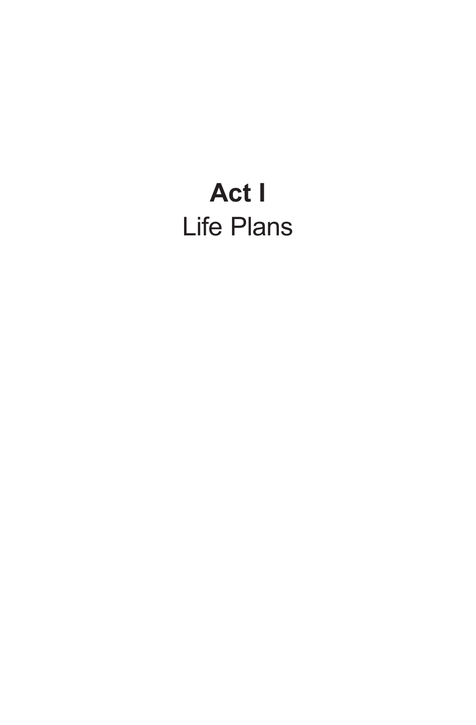# **Act I** Life Plans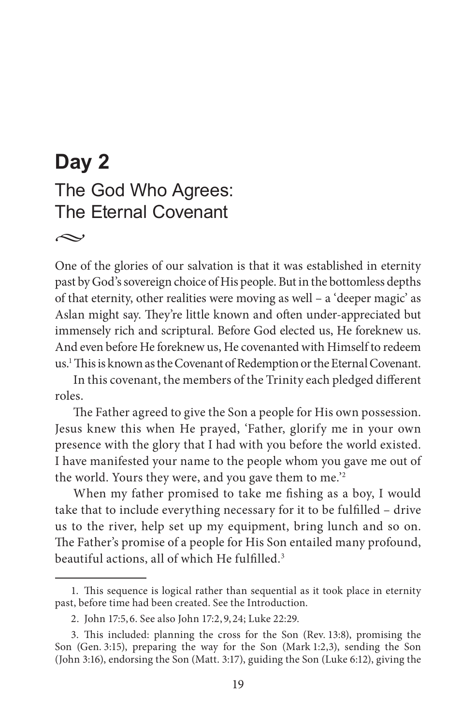# **Day 2** The God Who Agrees: The Eternal Covenant

*•*

One of the glories of our salvation is that it was established in eternity past by God's sovereign choice of His people. But in the bottomless depths of that eternity, other realities were moving as well – a 'deeper magic' as Aslan might say. They're little known and often under-appreciated but immensely rich and scriptural. Before God elected us, He foreknew us. And even before He foreknew us, He covenanted with Himself to redeem us.1 This is known as the Covenant of Redemption or the Eternal Covenant.

In this covenant, the members of the Trinity each pledged different roles.

The Father agreed to give the Son a people for His own possession. Jesus knew this when He prayed, 'Father, glorify me in your own presence with the glory that I had with you before the world existed. I have manifested your name to the people whom you gave me out of the world. Yours they were, and you gave them to me.'2

When my father promised to take me fishing as a boy, I would take that to include everything necessary for it to be fulfilled – drive us to the river, help set up my equipment, bring lunch and so on. The Father's promise of a people for His Son entailed many profound, beautiful actions, all of which He fulfilled.3

<sup>1.</sup> This sequence is logical rather than sequential as it took place in eternity past, before time had been created. See the Introduction.

<sup>2.</sup> John 17:5, 6. See also John 17:2, 9, 24; Luke 22:29.

<sup>3.</sup> This included: planning the cross for the Son (Rev. 13:8), promising the Son (Gen. 3:15), preparing the way for the Son (Mark 1:2,3), sending the Son (John 3:16), endorsing the Son (Matt. 3:17), guiding the Son (Luke 6:12), giving the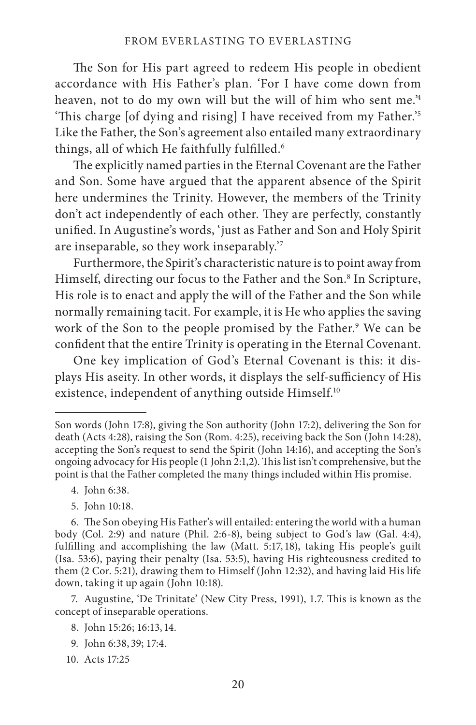The Son for His part agreed to redeem His people in obedient accordance with His Father's plan. 'For I have come down from heaven, not to do my own will but the will of him who sent me.'4 'This charge [of dying and rising] I have received from my Father.'5 Like the Father, the Son's agreement also entailed many extraordinary things, all of which He faithfully fulfilled.<sup>6</sup>

The explicitly named parties in the Eternal Covenant are the Father and Son. Some have argued that the apparent absence of the Spirit here undermines the Trinity. However, the members of the Trinity don't act independently of each other. They are perfectly, constantly unified. In Augustine's words, 'just as Father and Son and Holy Spirit are inseparable, so they work inseparably.'7

Furthermore, the Spirit's characteristic nature is to point away from Himself, directing our focus to the Father and the Son.8 In Scripture, His role is to enact and apply the will of the Father and the Son while normally remaining tacit. For example, it is He who applies the saving work of the Son to the people promised by the Father.<sup>9</sup> We can be confident that the entire Trinity is operating in the Eternal Covenant.

One key implication of God's Eternal Covenant is this: it displays His aseity. In other words, it displays the self-sufficiency of His existence, independent of anything outside Himself.<sup>10</sup>

- 4. John 6:38.
- 5. John 10:18.

7. Augustine, 'De Trinitate' (New City Press, 1991), 1.7. This is known as the concept of inseparable operations.

- 8. John 15:26; 16:13, 14.
- 9. John 6:38, 39; 17:4.
- 10. Acts 17:25

Son words (John 17:8), giving the Son authority (John 17:2), delivering the Son for death (Acts 4:28), raising the Son (Rom. 4:25), receiving back the Son (John 14:28), accepting the Son's request to send the Spirit (John 14:16), and accepting the Son's ongoing advocacy for His people (1 John 2:1,2). This list isn't comprehensive, but the point is that the Father completed the many things included within His promise.

<sup>6.</sup> The Son obeying His Father's will entailed: entering the world with a human body (Col. 2:9) and nature (Phil. 2:6-8), being subject to God's law (Gal. 4:4), fulfilling and accomplishing the law (Matt. 5:17, 18), taking His people's guilt (Isa. 53:6), paying their penalty (Isa. 53:5), having His righteousness credited to them (2 Cor. 5:21), drawing them to Himself (John 12:32), and having laid His life down, taking it up again (John 10:18).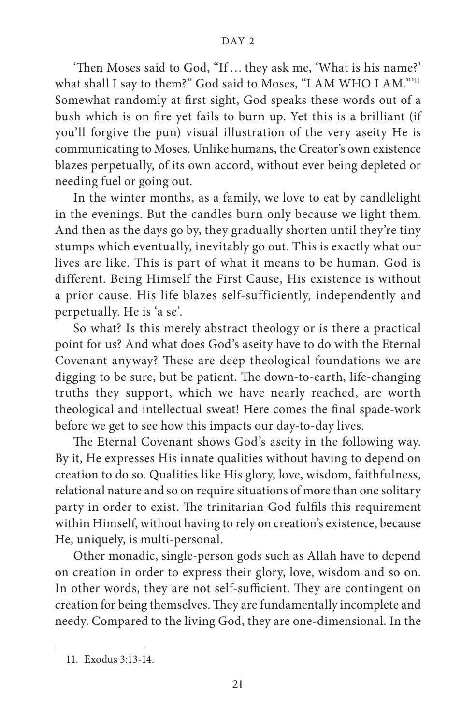'Then Moses said to God, "If … they ask me, 'What is his name?' what shall I say to them?" God said to Moses, "I AM WHO I AM."'11 Somewhat randomly at first sight, God speaks these words out of a bush which is on fire yet fails to burn up. Yet this is a brilliant (if you'll forgive the pun) visual illustration of the very aseity He is communicating to Moses. Unlike humans, the Creator's own existence blazes perpetually, of its own accord, without ever being depleted or needing fuel or going out.

In the winter months, as a family, we love to eat by candlelight in the evenings. But the candles burn only because we light them. And then as the days go by, they gradually shorten until they're tiny stumps which eventually, inevitably go out. This is exactly what our lives are like. This is part of what it means to be human. God is different. Being Himself the First Cause, His existence is without a prior cause. His life blazes self-sufficiently, independently and perpetually. He is 'a se'.

So what? Is this merely abstract theology or is there a practical point for us? And what does God's aseity have to do with the Eternal Covenant anyway? These are deep theological foundations we are digging to be sure, but be patient. The down-to-earth, life-changing truths they support, which we have nearly reached, are worth theological and intellectual sweat! Here comes the final spade-work before we get to see how this impacts our day-to-day lives.

The Eternal Covenant shows God's aseity in the following way. By it, He expresses His innate qualities without having to depend on creation to do so. Qualities like His glory, love, wisdom, faithfulness, relational nature and so on require situations of more than one solitary party in order to exist. The trinitarian God fulfils this requirement within Himself, without having to rely on creation's existence, because He, uniquely, is multi-personal.

Other monadic, single-person gods such as Allah have to depend on creation in order to express their glory, love, wisdom and so on. In other words, they are not self-sufficient. They are contingent on creation for being themselves. They are fundamentally incomplete and needy. Compared to the living God, they are one-dimensional. In the

<sup>11.</sup> Exodus 3:13-14.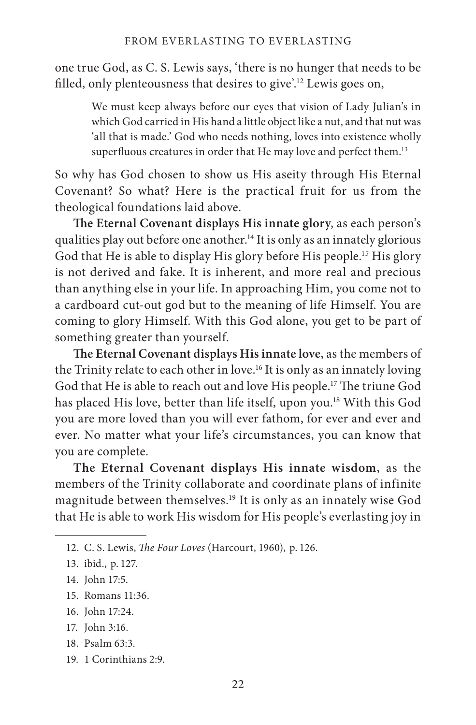one true God, as C. S. Lewis says, 'there is no hunger that needs to be filled, only plenteousness that desires to give'.12 Lewis goes on,

We must keep always before our eyes that vision of Lady Julian's in which God carried in His hand a little object like a nut, and that nut was 'all that is made.' God who needs nothing, loves into existence wholly superfluous creatures in order that He may love and perfect them.13

So why has God chosen to show us His aseity through His Eternal Covenant? So what? Here is the practical fruit for us from the theological foundations laid above.

**The Eternal Covenant displays His innate glory**, as each person's qualities play out before one another.<sup>14</sup> It is only as an innately glorious God that He is able to display His glory before His people.<sup>15</sup> His glory is not derived and fake. It is inherent, and more real and precious than anything else in your life. In approaching Him, you come not to a cardboard cut-out god but to the meaning of life Himself. You are coming to glory Himself. With this God alone, you get to be part of something greater than yourself.

**The Eternal Covenant displays His innate love**, as the members of the Trinity relate to each other in love.16 It is only as an innately loving God that He is able to reach out and love His people.17 The triune God has placed His love, better than life itself, upon you.<sup>18</sup> With this God you are more loved than you will ever fathom, for ever and ever and ever. No matter what your life's circumstances, you can know that you are complete.

**The Eternal Covenant displays His innate wisdom**, as the members of the Trinity collaborate and coordinate plans of infinite magnitude between themselves.19 It is only as an innately wise God that He is able to work His wisdom for His people's everlasting joy in

- 15. Romans 11:36.
- 16. John 17:24.
- 17. John 3:16.
- $18$ . Psalm  $63.3$ .
- 19. 1 Corinthians 2:9.

<sup>12.</sup> C. S. Lewis, *The Four Loves* (Harcourt, 1960), p. 126.

<sup>13.</sup> ibid., p. 127.

<sup>14.</sup> John 17:5.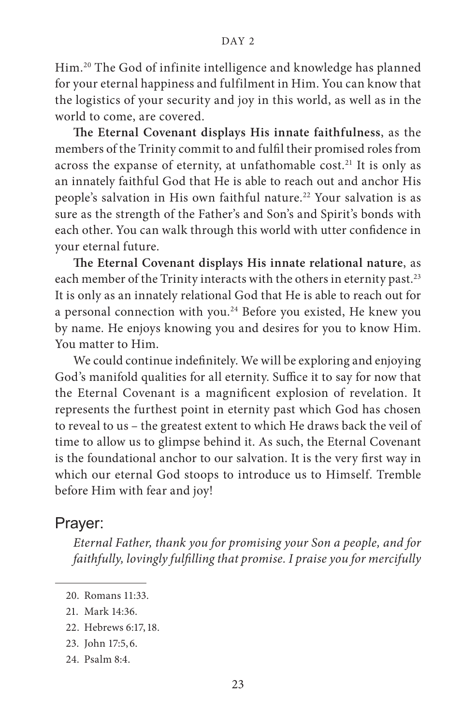#### DAY<sub>2</sub>

Him.20 The God of infinite intelligence and knowledge has planned for your eternal happiness and fulfilment in Him. You can know that the logistics of your security and joy in this world, as well as in the world to come, are covered.

**The Eternal Covenant displays His innate faithfulness**, as the members of the Trinity commit to and fulfil their promised roles from across the expanse of eternity, at unfathomable cost.<sup>21</sup> It is only as an innately faithful God that He is able to reach out and anchor His people's salvation in His own faithful nature.<sup>22</sup> Your salvation is as sure as the strength of the Father's and Son's and Spirit's bonds with each other. You can walk through this world with utter confidence in your eternal future.

**The Eternal Covenant displays His innate relational nature**, as each member of the Trinity interacts with the others in eternity past.<sup>23</sup> It is only as an innately relational God that He is able to reach out for a personal connection with you.<sup>24</sup> Before you existed, He knew you by name. He enjoys knowing you and desires for you to know Him. You matter to Him.

We could continue indefinitely. We will be exploring and enjoying God's manifold qualities for all eternity. Suffice it to say for now that the Eternal Covenant is a magnificent explosion of revelation. It represents the furthest point in eternity past which God has chosen to reveal to us – the greatest extent to which He draws back the veil of time to allow us to glimpse behind it. As such, the Eternal Covenant is the foundational anchor to our salvation. It is the very first way in which our eternal God stoops to introduce us to Himself. Tremble before Him with fear and joy!

#### Prayer:

*Eternal Father, thank you for promising your Son a people, and for faithfully, lovingly fulfilling that promise. I praise you for mercifully* 

- 23. John 17:5, 6.
- 24. Psalm 8:4.

<sup>20.</sup> Romans 11:33.

<sup>21.</sup> Mark 14:36.

<sup>22.</sup> Hebrews 6:17, 18.